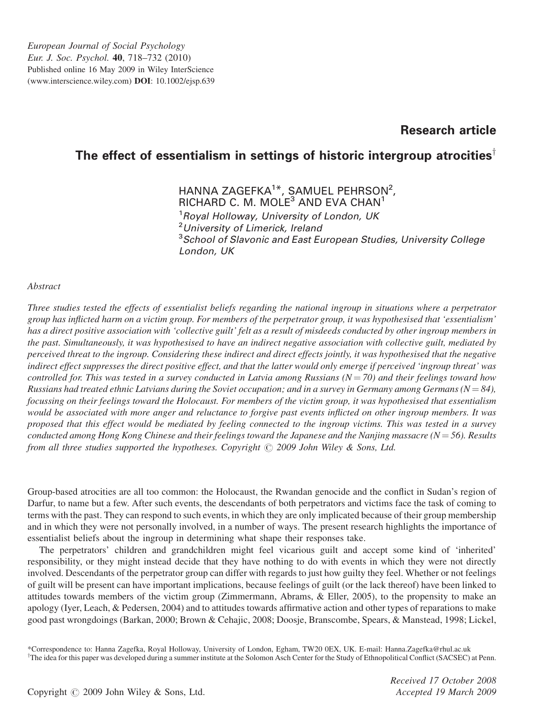# Research article

# The effect of essentialism in settings of historic intergroup atrocities<sup> $\dagger$ </sup>

HANNA ZAGEFKA<sup>1\*</sup>, SAMUEL PEHRSON<sup>2</sup>, RICHARD C. M. MOLE $3$  AND EVA CHAN $1$ <sup>1</sup> Royal Holloway, University of London, UK <sup>2</sup> University of Limerick, Ireland <sup>3</sup> School of Slavonic and East European Studies, University College London, UK

# Abstract

Three studies tested the effects of essentialist beliefs regarding the national ingroup in situations where a perpetrator group has inflicted harm on a victim group. For members of the perpetrator group, it was hypothesised that 'essentialism' has a direct positive association with 'collective guilt' felt as a result of misdeeds conducted by other ingroup members in the past. Simultaneously, it was hypothesised to have an indirect negative association with collective guilt, mediated by perceived threat to the ingroup. Considering these indirect and direct effects jointly, it was hypothesised that the negative indirect effect suppresses the direct positive effect, and that the latter would only emerge if perceived 'ingroup threat' was controlled for. This was tested in a survey conducted in Latvia among Russians  $(N = 70)$  and their feelings toward how Russians had treated ethnic Latvians during the Soviet occupation; and in a survey in Germany among Germans ( $N=84$ ), focussing on their feelings toward the Holocaust. For members of the victim group, it was hypothesised that essentialism would be associated with more anger and reluctance to forgive past events inflicted on other ingroup members. It was proposed that this effect would be mediated by feeling connected to the ingroup victims. This was tested in a survey conducted among Hong Kong Chinese and their feelings toward the Japanese and the Nanjing massacre ( $N = 56$ ). Results from all three studies supported the hypotheses. Copyright  $\mathbb O$  2009 John Wiley & Sons, Ltd.

Group-based atrocities are all too common: the Holocaust, the Rwandan genocide and the conflict in Sudan's region of Darfur, to name but a few. After such events, the descendants of both perpetrators and victims face the task of coming to terms with the past. They can respond to such events, in which they are only implicated because of their group membership and in which they were not personally involved, in a number of ways. The present research highlights the importance of essentialist beliefs about the ingroup in determining what shape their responses take.

The perpetrators' children and grandchildren might feel vicarious guilt and accept some kind of 'inherited' responsibility, or they might instead decide that they have nothing to do with events in which they were not directly involved. Descendants of the perpetrator group can differ with regards to just how guilty they feel. Whether or not feelings of guilt will be present can have important implications, because feelings of guilt (or the lack thereof) have been linked to attitudes towards members of the victim group (Zimmermann, Abrams, & Eller, 2005), to the propensity to make an apology (Iyer, Leach, & Pedersen, 2004) and to attitudes towards affirmative action and other types of reparations to make good past wrongdoings (Barkan, 2000; Brown & Cehajic, 2008; Doosje, Branscombe, Spears, & Manstead, 1998; Lickel,

\*Correspondence to: Hanna Zagefka, Royal Holloway, University of London, Egham, TW20 0EX, UK. E-mail: Hanna.Zagefka@rhul.ac.uk <sup>†</sup>The idea for this paper was developed during a summer institute at the Solomon Asch Center for the Study of Ethnopolitical Conflict (SACSEC) at Penn.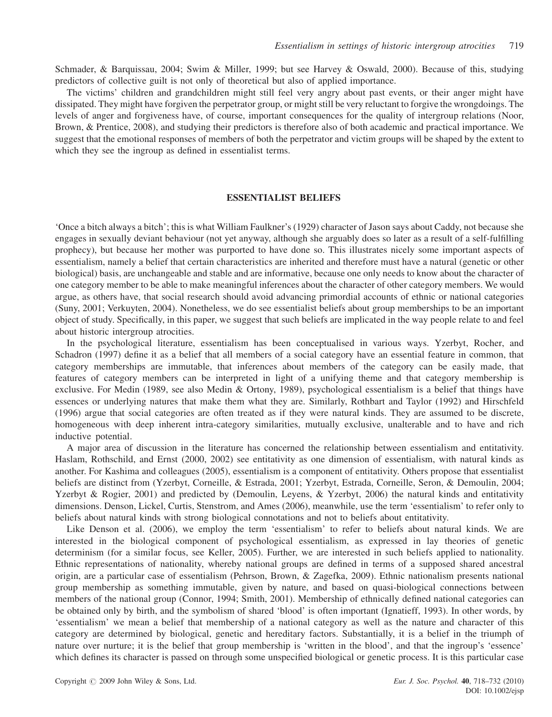Schmader, & Barquissau, 2004; Swim & Miller, 1999; but see Harvey & Oswald, 2000). Because of this, studying predictors of collective guilt is not only of theoretical but also of applied importance.

The victims' children and grandchildren might still feel very angry about past events, or their anger might have dissipated. They might have forgiven the perpetrator group, or might still be very reluctant to forgive the wrongdoings. The levels of anger and forgiveness have, of course, important consequences for the quality of intergroup relations (Noor, Brown, & Prentice, 2008), and studying their predictors is therefore also of both academic and practical importance. We suggest that the emotional responses of members of both the perpetrator and victim groups will be shaped by the extent to which they see the ingroup as defined in essentialist terms.

#### ESSENTIALIST BELIEFS

'Once a bitch always a bitch'; this is what William Faulkner's (1929) character of Jason says about Caddy, not because she engages in sexually deviant behaviour (not yet anyway, although she arguably does so later as a result of a self-fulfilling prophecy), but because her mother was purported to have done so. This illustrates nicely some important aspects of essentialism, namely a belief that certain characteristics are inherited and therefore must have a natural (genetic or other biological) basis, are unchangeable and stable and are informative, because one only needs to know about the character of one category member to be able to make meaningful inferences about the character of other category members. We would argue, as others have, that social research should avoid advancing primordial accounts of ethnic or national categories (Suny, 2001; Verkuyten, 2004). Nonetheless, we do see essentialist beliefs about group memberships to be an important object of study. Specifically, in this paper, we suggest that such beliefs are implicated in the way people relate to and feel about historic intergroup atrocities.

In the psychological literature, essentialism has been conceptualised in various ways. Yzerbyt, Rocher, and Schadron (1997) define it as a belief that all members of a social category have an essential feature in common, that category memberships are immutable, that inferences about members of the category can be easily made, that features of category members can be interpreted in light of a unifying theme and that category membership is exclusive. For Medin (1989, see also Medin & Ortony, 1989), psychological essentialism is a belief that things have essences or underlying natures that make them what they are. Similarly, Rothbart and Taylor (1992) and Hirschfeld (1996) argue that social categories are often treated as if they were natural kinds. They are assumed to be discrete, homogeneous with deep inherent intra-category similarities, mutually exclusive, unalterable and to have and rich inductive potential.

A major area of discussion in the literature has concerned the relationship between essentialism and entitativity. Haslam, Rothschild, and Ernst (2000, 2002) see entitativity as one dimension of essentialism, with natural kinds as another. For Kashima and colleagues (2005), essentialism is a component of entitativity. Others propose that essentialist beliefs are distinct from (Yzerbyt, Corneille, & Estrada, 2001; Yzerbyt, Estrada, Corneille, Seron, & Demoulin, 2004; Yzerbyt & Rogier, 2001) and predicted by (Demoulin, Leyens, & Yzerbyt, 2006) the natural kinds and entitativity dimensions. Denson, Lickel, Curtis, Stenstrom, and Ames (2006), meanwhile, use the term 'essentialism' to refer only to beliefs about natural kinds with strong biological connotations and not to beliefs about entitativity.

Like Denson et al. (2006), we employ the term 'essentialism' to refer to beliefs about natural kinds. We are interested in the biological component of psychological essentialism, as expressed in lay theories of genetic determinism (for a similar focus, see Keller, 2005). Further, we are interested in such beliefs applied to nationality. Ethnic representations of nationality, whereby national groups are defined in terms of a supposed shared ancestral origin, are a particular case of essentialism (Pehrson, Brown, & Zagefka, 2009). Ethnic nationalism presents national group membership as something immutable, given by nature, and based on quasi-biological connections between members of the national group (Connor, 1994; Smith, 2001). Membership of ethnically defined national categories can be obtained only by birth, and the symbolism of shared 'blood' is often important (Ignatieff, 1993). In other words, by 'essentialism' we mean a belief that membership of a national category as well as the nature and character of this category are determined by biological, genetic and hereditary factors. Substantially, it is a belief in the triumph of nature over nurture; it is the belief that group membership is 'written in the blood', and that the ingroup's 'essence' which defines its character is passed on through some unspecified biological or genetic process. It is this particular case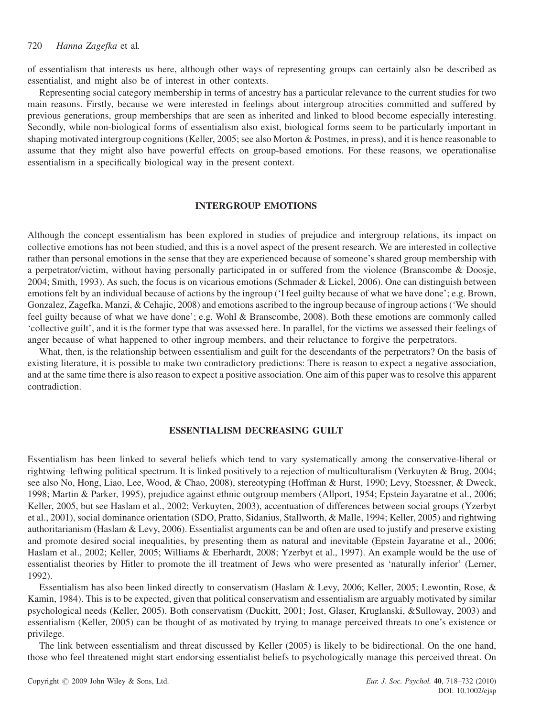of essentialism that interests us here, although other ways of representing groups can certainly also be described as essentialist, and might also be of interest in other contexts.

Representing social category membership in terms of ancestry has a particular relevance to the current studies for two main reasons. Firstly, because we were interested in feelings about intergroup atrocities committed and suffered by previous generations, group memberships that are seen as inherited and linked to blood become especially interesting. Secondly, while non-biological forms of essentialism also exist, biological forms seem to be particularly important in shaping motivated intergroup cognitions (Keller, 2005; see also Morton & Postmes, in press), and it is hence reasonable to assume that they might also have powerful effects on group-based emotions. For these reasons, we operationalise essentialism in a specifically biological way in the present context.

## INTERGROUP EMOTIONS

Although the concept essentialism has been explored in studies of prejudice and intergroup relations, its impact on collective emotions has not been studied, and this is a novel aspect of the present research. We are interested in collective rather than personal emotions in the sense that they are experienced because of someone's shared group membership with a perpetrator/victim, without having personally participated in or suffered from the violence (Branscombe & Doosje, 2004; Smith, 1993). As such, the focus is on vicarious emotions (Schmader & Lickel, 2006). One can distinguish between emotions felt by an individual because of actions by the ingroup ('I feel guilty because of what we have done'; e.g. Brown, Gonzalez, Zagefka, Manzi, & Cehajic, 2008) and emotions ascribed to the ingroup because of ingroup actions ('We should feel guilty because of what we have done'; e.g. Wohl & Branscombe, 2008). Both these emotions are commonly called 'collective guilt', and it is the former type that was assessed here. In parallel, for the victims we assessed their feelings of anger because of what happened to other ingroup members, and their reluctance to forgive the perpetrators.

What, then, is the relationship between essentialism and guilt for the descendants of the perpetrators? On the basis of existing literature, it is possible to make two contradictory predictions: There is reason to expect a negative association, and at the same time there is also reason to expect a positive association. One aim of this paper was to resolve this apparent contradiction.

#### ESSENTIALISM DECREASING GUILT

Essentialism has been linked to several beliefs which tend to vary systematically among the conservative-liberal or rightwing–leftwing political spectrum. It is linked positively to a rejection of multiculturalism (Verkuyten & Brug, 2004; see also No, Hong, Liao, Lee, Wood, & Chao, 2008), stereotyping (Hoffman & Hurst, 1990; Levy, Stoessner, & Dweck, 1998; Martin & Parker, 1995), prejudice against ethnic outgroup members (Allport, 1954; Epstein Jayaratne et al., 2006; Keller, 2005, but see Haslam et al., 2002; Verkuyten, 2003), accentuation of differences between social groups (Yzerbyt et al., 2001), social dominance orientation (SDO, Pratto, Sidanius, Stallworth, & Malle, 1994; Keller, 2005) and rightwing authoritarianism (Haslam & Levy, 2006). Essentialist arguments can be and often are used to justify and preserve existing and promote desired social inequalities, by presenting them as natural and inevitable (Epstein Jayaratne et al., 2006; Haslam et al., 2002; Keller, 2005; Williams & Eberhardt, 2008; Yzerbyt et al., 1997). An example would be the use of essentialist theories by Hitler to promote the ill treatment of Jews who were presented as 'naturally inferior' (Lerner, 1992).

Essentialism has also been linked directly to conservatism (Haslam & Levy, 2006; Keller, 2005; Lewontin, Rose, & Kamin, 1984). This is to be expected, given that political conservatism and essentialism are arguably motivated by similar psychological needs (Keller, 2005). Both conservatism (Duckitt, 2001; Jost, Glaser, Kruglanski, &Sulloway, 2003) and essentialism (Keller, 2005) can be thought of as motivated by trying to manage perceived threats to one's existence or privilege.

The link between essentialism and threat discussed by Keller (2005) is likely to be bidirectional. On the one hand, those who feel threatened might start endorsing essentialist beliefs to psychologically manage this perceived threat. On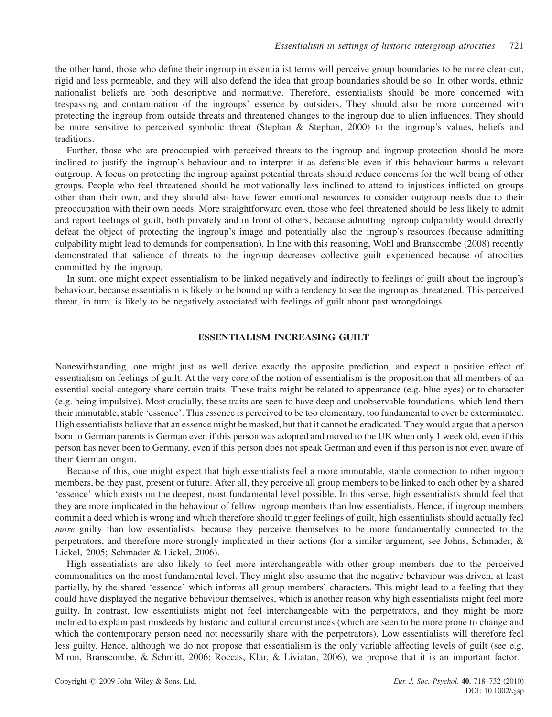the other hand, those who define their ingroup in essentialist terms will perceive group boundaries to be more clear-cut, rigid and less permeable, and they will also defend the idea that group boundaries should be so. In other words, ethnic nationalist beliefs are both descriptive and normative. Therefore, essentialists should be more concerned with trespassing and contamination of the ingroups' essence by outsiders. They should also be more concerned with protecting the ingroup from outside threats and threatened changes to the ingroup due to alien influences. They should be more sensitive to perceived symbolic threat (Stephan & Stephan, 2000) to the ingroup's values, beliefs and traditions.

Further, those who are preoccupied with perceived threats to the ingroup and ingroup protection should be more inclined to justify the ingroup's behaviour and to interpret it as defensible even if this behaviour harms a relevant outgroup. A focus on protecting the ingroup against potential threats should reduce concerns for the well being of other groups. People who feel threatened should be motivationally less inclined to attend to injustices inflicted on groups other than their own, and they should also have fewer emotional resources to consider outgroup needs due to their preoccupation with their own needs. More straightforward even, those who feel threatened should be less likely to admit and report feelings of guilt, both privately and in front of others, because admitting ingroup culpability would directly defeat the object of protecting the ingroup's image and potentially also the ingroup's resources (because admitting culpability might lead to demands for compensation). In line with this reasoning, Wohl and Branscombe (2008) recently demonstrated that salience of threats to the ingroup decreases collective guilt experienced because of atrocities committed by the ingroup.

In sum, one might expect essentialism to be linked negatively and indirectly to feelings of guilt about the ingroup's behaviour, because essentialism is likely to be bound up with a tendency to see the ingroup as threatened. This perceived threat, in turn, is likely to be negatively associated with feelings of guilt about past wrongdoings.

#### ESSENTIALISM INCREASING GUILT

Nonewithstanding, one might just as well derive exactly the opposite prediction, and expect a positive effect of essentialism on feelings of guilt. At the very core of the notion of essentialism is the proposition that all members of an essential social category share certain traits. These traits might be related to appearance (e.g. blue eyes) or to character (e.g. being impulsive). Most crucially, these traits are seen to have deep and unobservable foundations, which lend them their immutable, stable 'essence'. This essence is perceived to be too elementary, too fundamental to ever be exterminated. High essentialists believe that an essence might be masked, but that it cannot be eradicated. They would argue that a person born to German parents is German even if this person was adopted and moved to the UK when only 1 week old, even if this person has never been to Germany, even if this person does not speak German and even if this person is not even aware of their German origin.

Because of this, one might expect that high essentialists feel a more immutable, stable connection to other ingroup members, be they past, present or future. After all, they perceive all group members to be linked to each other by a shared 'essence' which exists on the deepest, most fundamental level possible. In this sense, high essentialists should feel that they are more implicated in the behaviour of fellow ingroup members than low essentialists. Hence, if ingroup members commit a deed which is wrong and which therefore should trigger feelings of guilt, high essentialists should actually feel more guilty than low essentialists, because they perceive themselves to be more fundamentally connected to the perpetrators, and therefore more strongly implicated in their actions (for a similar argument, see Johns, Schmader, & Lickel, 2005; Schmader & Lickel, 2006).

High essentialists are also likely to feel more interchangeable with other group members due to the perceived commonalities on the most fundamental level. They might also assume that the negative behaviour was driven, at least partially, by the shared 'essence' which informs all group members' characters. This might lead to a feeling that they could have displayed the negative behaviour themselves, which is another reason why high essentialists might feel more guilty. In contrast, low essentialists might not feel interchangeable with the perpetrators, and they might be more inclined to explain past misdeeds by historic and cultural circumstances (which are seen to be more prone to change and which the contemporary person need not necessarily share with the perpetrators). Low essentialists will therefore feel less guilty. Hence, although we do not propose that essentialism is the only variable affecting levels of guilt (see e.g. Miron, Branscombe, & Schmitt, 2006; Roccas, Klar, & Liviatan, 2006), we propose that it is an important factor.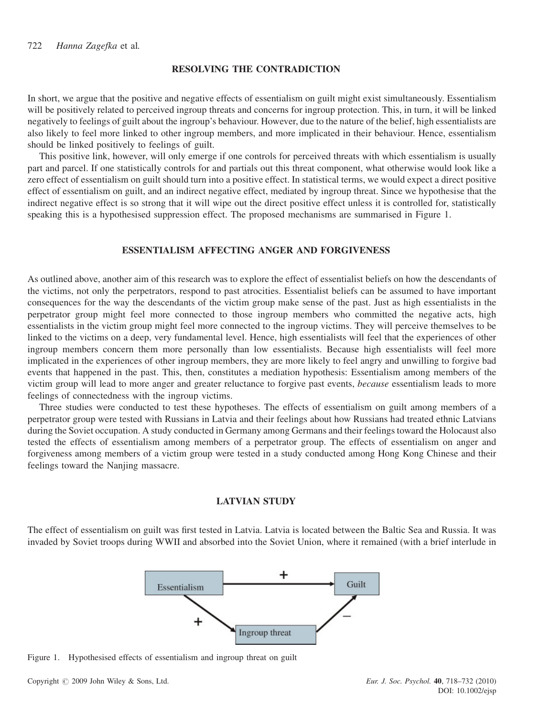#### RESOLVING THE CONTRADICTION

In short, we argue that the positive and negative effects of essentialism on guilt might exist simultaneously. Essentialism will be positively related to perceived ingroup threats and concerns for ingroup protection. This, in turn, it will be linked negatively to feelings of guilt about the ingroup's behaviour. However, due to the nature of the belief, high essentialists are also likely to feel more linked to other ingroup members, and more implicated in their behaviour. Hence, essentialism should be linked positively to feelings of guilt.

This positive link, however, will only emerge if one controls for perceived threats with which essentialism is usually part and parcel. If one statistically controls for and partials out this threat component, what otherwise would look like a zero effect of essentialism on guilt should turn into a positive effect. In statistical terms, we would expect a direct positive effect of essentialism on guilt, and an indirect negative effect, mediated by ingroup threat. Since we hypothesise that the indirect negative effect is so strong that it will wipe out the direct positive effect unless it is controlled for, statistically speaking this is a hypothesised suppression effect. The proposed mechanisms are summarised in Figure 1.

# ESSENTIALISM AFFECTING ANGER AND FORGIVENESS

As outlined above, another aim of this research was to explore the effect of essentialist beliefs on how the descendants of the victims, not only the perpetrators, respond to past atrocities. Essentialist beliefs can be assumed to have important consequences for the way the descendants of the victim group make sense of the past. Just as high essentialists in the perpetrator group might feel more connected to those ingroup members who committed the negative acts, high essentialists in the victim group might feel more connected to the ingroup victims. They will perceive themselves to be linked to the victims on a deep, very fundamental level. Hence, high essentialists will feel that the experiences of other ingroup members concern them more personally than low essentialists. Because high essentialists will feel more implicated in the experiences of other ingroup members, they are more likely to feel angry and unwilling to forgive bad events that happened in the past. This, then, constitutes a mediation hypothesis: Essentialism among members of the victim group will lead to more anger and greater reluctance to forgive past events, *because* essentialism leads to more feelings of connectedness with the ingroup victims.

Three studies were conducted to test these hypotheses. The effects of essentialism on guilt among members of a perpetrator group were tested with Russians in Latvia and their feelings about how Russians had treated ethnic Latvians during the Soviet occupation. A study conducted in Germany among Germans and their feelings toward the Holocaust also tested the effects of essentialism among members of a perpetrator group. The effects of essentialism on anger and forgiveness among members of a victim group were tested in a study conducted among Hong Kong Chinese and their feelings toward the Nanjing massacre.

## LATVIAN STUDY

The effect of essentialism on guilt was first tested in Latvia. Latvia is located between the Baltic Sea and Russia. It was invaded by Soviet troops during WWII and absorbed into the Soviet Union, where it remained (with a brief interlude in



Figure 1. Hypothesised effects of essentialism and ingroup threat on guilt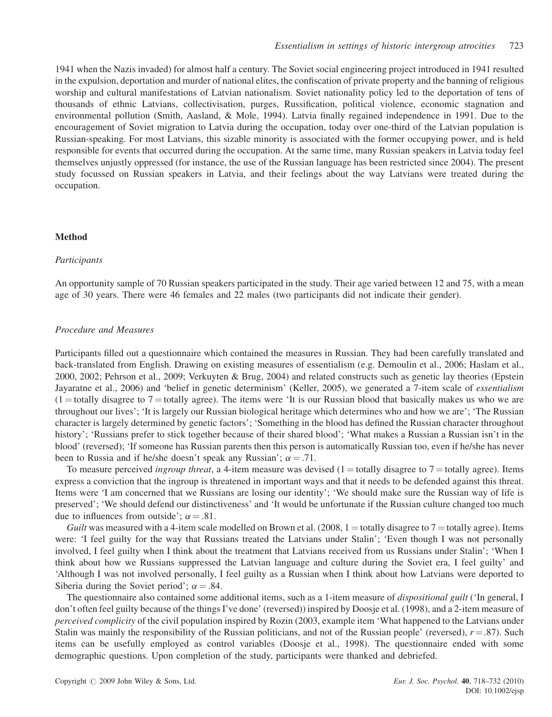1941 when the Nazis invaded) for almost half a century. The Soviet social engineering project introduced in 1941 resulted in the expulsion, deportation and murder of national elites, the confiscation of private property and the banning of religious worship and cultural manifestations of Latvian nationalism. Soviet nationality policy led to the deportation of tens of thousands of ethnic Latvians, collectivisation, purges, Russification, political violence, economic stagnation and environmental pollution (Smith, Aasland, & Mole, 1994). Latvia finally regained independence in 1991. Due to the encouragement of Soviet migration to Latvia during the occupation, today over one-third of the Latvian population is Russian-speaking. For most Latvians, this sizable minority is associated with the former occupying power, and is held responsible for events that occurred during the occupation. At the same time, many Russian speakers in Latvia today feel themselves unjustly oppressed (for instance, the use of the Russian language has been restricted since 2004). The present study focussed on Russian speakers in Latvia, and their feelings about the way Latvians were treated during the occupation.

## Method

# **Participants**

An opportunity sample of 70 Russian speakers participated in the study. Their age varied between 12 and 75, with a mean age of 30 years. There were 46 females and 22 males (two participants did not indicate their gender).

# Procedure and Measures

Participants filled out a questionnaire which contained the measures in Russian. They had been carefully translated and back-translated from English. Drawing on existing measures of essentialism (e.g. Demoulin et al., 2006; Haslam et al., 2000, 2002; Pehrson et al., 2009; Verkuyten & Brug, 2004) and related constructs such as genetic lay theories (Epstein Jayaratne et al., 2006) and 'belief in genetic determinism' (Keller, 2005), we generated a 7-item scale of *essentialism*  $(1 =$  totally disagree to  $7 =$  totally agree). The items were 'It is our Russian blood that basically makes us who we are throughout our lives'; 'It is largely our Russian biological heritage which determines who and how we are'; 'The Russian character is largely determined by genetic factors'; 'Something in the blood has defined the Russian character throughout history'; 'Russians prefer to stick together because of their shared blood'; 'What makes a Russian a Russian isn't in the blood' (reversed); 'If someone has Russian parents then this person is automatically Russian too, even if he/she has never been to Russia and if he/she doesn't speak any Russian';  $\alpha = .71$ .

To measure perceived *ingroup threat*, a 4-item measure was devised  $(1 = totally distance to 7 = totally agree)$ . Items express a conviction that the ingroup is threatened in important ways and that it needs to be defended against this threat. Items were 'I am concerned that we Russians are losing our identity'; 'We should make sure the Russian way of life is preserved'; 'We should defend our distinctiveness' and 'It would be unfortunate if the Russian culture changed too much due to influences from outside':  $\alpha = .81$ .

Guilt was measured with a 4-item scale modelled on Brown et al. (2008,  $1 =$  totally disagree to  $7 =$  totally agree). Items were: 'I feel guilty for the way that Russians treated the Latvians under Stalin'; 'Even though I was not personally involved, I feel guilty when I think about the treatment that Latvians received from us Russians under Stalin'; 'When I think about how we Russians suppressed the Latvian language and culture during the Soviet era, I feel guilty' and 'Although I was not involved personally, I feel guilty as a Russian when I think about how Latvians were deported to Siberia during the Soviet period';  $\alpha = .84$ .

The questionnaire also contained some additional items, such as a 1-item measure of *dispositional guilt* ('In general, I don't often feel guilty because of the things I've done' (reversed)) inspired by Doosje et al. (1998), and a 2-item measure of perceived complicity of the civil population inspired by Rozin (2003, example item 'What happened to the Latvians under Stalin was mainly the responsibility of the Russian politicians, and not of the Russian people' (reversed),  $r = .87$ ). Such items can be usefully employed as control variables (Doosje et al., 1998). The questionnaire ended with some demographic questions. Upon completion of the study, participants were thanked and debriefed.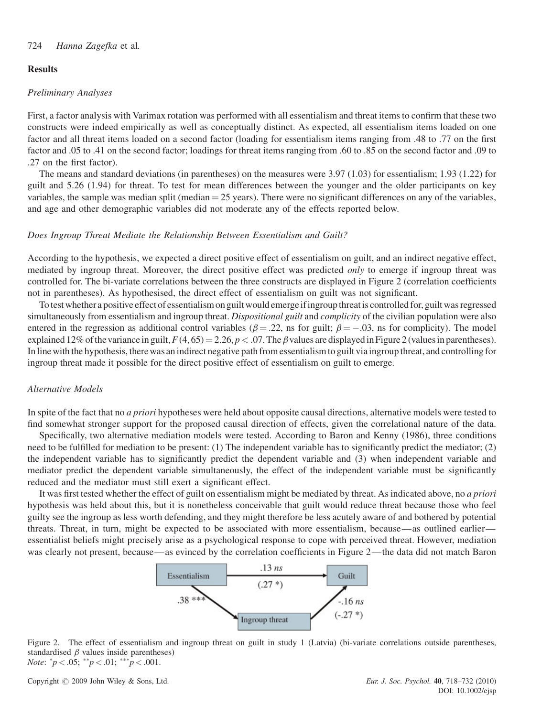## **Results**

## Preliminary Analyses

First, a factor analysis with Varimax rotation was performed with all essentialism and threat items to confirm that these two constructs were indeed empirically as well as conceptually distinct. As expected, all essentialism items loaded on one factor and all threat items loaded on a second factor (loading for essentialism items ranging from .48 to .77 on the first factor and .05 to .41 on the second factor; loadings for threat items ranging from .60 to .85 on the second factor and .09 to .27 on the first factor).

The means and standard deviations (in parentheses) on the measures were 3.97 (1.03) for essentialism; 1.93 (1.22) for guilt and 5.26 (1.94) for threat. To test for mean differences between the younger and the older participants on key variables, the sample was median split (median  $= 25$  years). There were no significant differences on any of the variables, and age and other demographic variables did not moderate any of the effects reported below.

# Does Ingroup Threat Mediate the Relationship Between Essentialism and Guilt?

According to the hypothesis, we expected a direct positive effect of essentialism on guilt, and an indirect negative effect, mediated by ingroup threat. Moreover, the direct positive effect was predicted *only* to emerge if ingroup threat was controlled for. The bi-variate correlations between the three constructs are displayed in Figure 2 (correlation coefficients not in parentheses). As hypothesised, the direct effect of essentialism on guilt was not significant.

Totest whether a positive effect of essentialism on guilt would emergeifingroupthreatis controlled for, guilt was regressed simultaneously from essentialism and ingroup threat. Dispositional guilt and complicity of the civilian population were also entered in the regression as additional control variables ( $\beta = .22$ , ns for guilt;  $\beta = -.03$ , ns for complicity). The model explained 12% of the variance in guilt,  $F(4, 65) = 2.26$ ,  $p < .07$ . The  $\beta$  values are displayed in Figure 2 (values in parentheses). Inline with the hypothesis, therewas anindirect negative path from essentialism to guilt viaingroup threat, and controlling for ingroup threat made it possible for the direct positive effect of essentialism on guilt to emerge.

## Alternative Models

In spite of the fact that no *a priori* hypotheses were held about opposite causal directions, alternative models were tested to find somewhat stronger support for the proposed causal direction of effects, given the correlational nature of the data.

Specifically, two alternative mediation models were tested. According to Baron and Kenny (1986), three conditions need to be fulfilled for mediation to be present: (1) The independent variable has to significantly predict the mediator; (2) the independent variable has to significantly predict the dependent variable and (3) when independent variable and mediator predict the dependent variable simultaneously, the effect of the independent variable must be significantly reduced and the mediator must still exert a significant effect.

It was first tested whether the effect of guilt on essentialism might be mediated by threat. As indicated above, no a priori hypothesis was held about this, but it is nonetheless conceivable that guilt would reduce threat because those who feel guilty see the ingroup as less worth defending, and they might therefore be less acutely aware of and bothered by potential threats. Threat, in turn, might be expected to be associated with more essentialism, because—as outlined earlier essentialist beliefs might precisely arise as a psychological response to cope with perceived threat. However, mediation was clearly not present, because—as evinced by the correlation coefficients in Figure 2—the data did not match Baron



Figure 2. The effect of essentialism and ingroup threat on guilt in study 1 (Latvia) (bi-variate correlations outside parentheses, standardised  $\beta$  values inside parentheses) *Note*:  ${}^*p < .05$ ;  ${}^{**}p < .01$ ;  ${}^{***}p < .001$ .

Copyright  $\odot$  2009 John Wiley & Sons, Ltd.  $Eur. J. Soc. Psvchol. 40. 718-732 (2010)$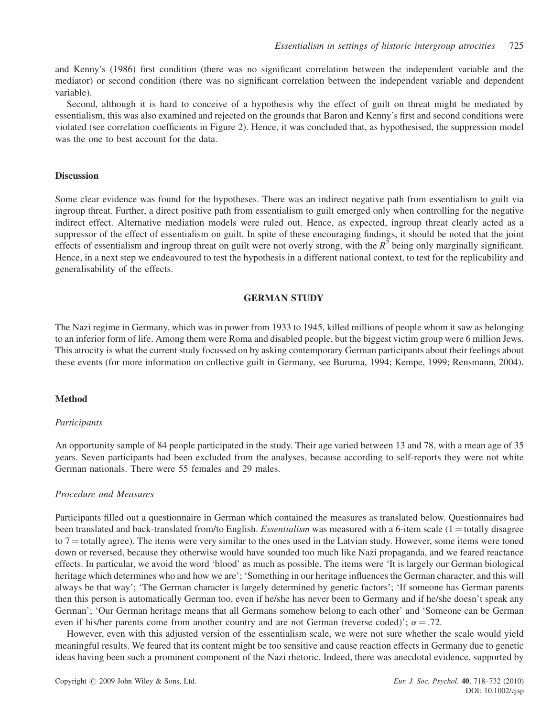and Kenny's (1986) first condition (there was no significant correlation between the independent variable and the mediator) or second condition (there was no significant correlation between the independent variable and dependent variable).

Second, although it is hard to conceive of a hypothesis why the effect of guilt on threat might be mediated by essentialism, this was also examined and rejected on the grounds that Baron and Kenny's first and second conditions were violated (see correlation coefficients in Figure 2). Hence, it was concluded that, as hypothesised, the suppression model was the one to best account for the data.

## **Discussion**

Some clear evidence was found for the hypotheses. There was an indirect negative path from essentialism to guilt via ingroup threat. Further, a direct positive path from essentialism to guilt emerged only when controlling for the negative indirect effect. Alternative mediation models were ruled out. Hence, as expected, ingroup threat clearly acted as a suppressor of the effect of essentialism on guilt. In spite of these encouraging findings, it should be noted that the joint effects of essentialism and ingroup threat on guilt were not overly strong, with the  $R<sup>2</sup>$  being only marginally significant. Hence, in a next step we endeavoured to test the hypothesis in a different national context, to test for the replicability and generalisability of the effects.

## GERMAN STUDY

The Nazi regime in Germany, which was in power from 1933 to 1945, killed millions of people whom it saw as belonging to an inferior form of life. Among them were Roma and disabled people, but the biggest victim group were 6 million Jews. This atrocity is what the current study focussed on by asking contemporary German participants about their feelings about these events (for more information on collective guilt in Germany, see Buruma, 1994; Kempe, 1999; Rensmann, 2004).

#### Method

#### **Participants**

An opportunity sample of 84 people participated in the study. Their age varied between 13 and 78, with a mean age of 35 years. Seven participants had been excluded from the analyses, because according to self-reports they were not white German nationals. There were 55 females and 29 males.

## Procedure and Measures

Participants filled out a questionnaire in German which contained the measures as translated below. Questionnaires had been translated and back-translated from/to English. *Essentialism* was measured with a 6-item scale  $(1 = totally disagree$ to  $7 =$  totally agree). The items were very similar to the ones used in the Latvian study. However, some items were toned down or reversed, because they otherwise would have sounded too much like Nazi propaganda, and we feared reactance effects. In particular, we avoid the word 'blood' as much as possible. The items were 'It is largely our German biological heritage which determines who and how we are'; 'Something in our heritage influences the German character, and this will always be that way'; 'The German character is largely determined by genetic factors'; 'If someone has German parents then this person is automatically German too, even if he/she has never been to Germany and if he/she doesn't speak any German'; 'Our German heritage means that all Germans somehow belong to each other' and 'Someone can be German even if his/her parents come from another country and are not German (reverse coded)';  $\alpha = .72$ .

However, even with this adjusted version of the essentialism scale, we were not sure whether the scale would yield meaningful results. We feared that its content might be too sensitive and cause reaction effects in Germany due to genetic ideas having been such a prominent component of the Nazi rhetoric. Indeed, there was anecdotal evidence, supported by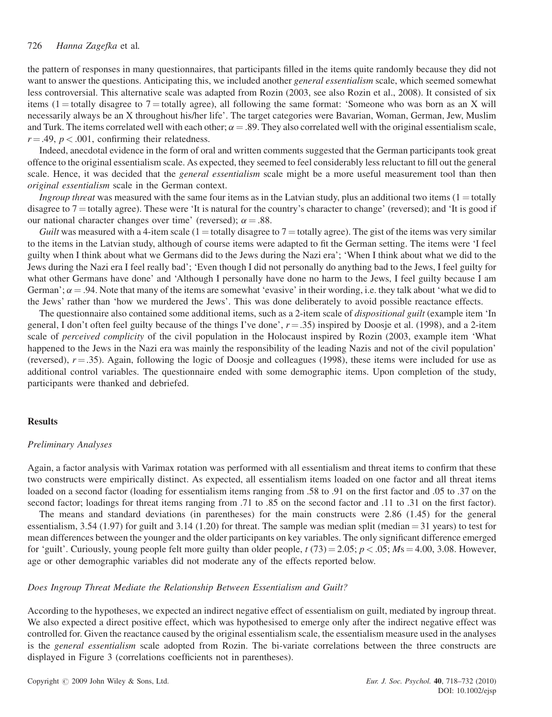the pattern of responses in many questionnaires, that participants filled in the items quite randomly because they did not want to answer the questions. Anticipating this, we included another *general essentialism* scale, which seemed somewhat less controversial. This alternative scale was adapted from Rozin (2003, see also Rozin et al., 2008). It consisted of six items (1 = totally disagree to 7 = totally agree), all following the same format: 'Someone who was born as an X will necessarily always be an X throughout his/her life'. The target categories were Bavarian, Woman, German, Jew, Muslim and Turk. The items correlated well with each other;  $\alpha = .89$ . They also correlated well with the original essentialism scale,  $r = .49$ ,  $p < .001$ , confirming their relatedness.

Indeed, anecdotal evidence in the form of oral and written comments suggested that the German participants took great offence to the original essentialism scale. As expected, they seemed to feel considerably less reluctant to fill out the general scale. Hence, it was decided that the *general essentialism* scale might be a more useful measurement tool than then original essentialism scale in the German context.

*Ingroup threat* was measured with the same four items as in the Latvian study, plus an additional two items  $(1 = \text{totally})$ disagree to  $7 =$  totally agree). These were 'It is natural for the country's character to change' (reversed); and 'It is good if our national character changes over time' (reversed);  $\alpha = .88$ .

Guilt was measured with a 4-item scale (1 = totally disagree to 7 = totally agree). The gist of the items was very similar to the items in the Latvian study, although of course items were adapted to fit the German setting. The items were 'I feel guilty when I think about what we Germans did to the Jews during the Nazi era'; 'When I think about what we did to the Jews during the Nazi era I feel really bad'; 'Even though I did not personally do anything bad to the Jews, I feel guilty for what other Germans have done' and 'Although I personally have done no harm to the Jews, I feel guilty because I am German';  $\alpha = .94$ . Note that many of the items are somewhat 'evasive' in their wording, i.e. they talk about 'what we did to the Jews' rather than 'how we murdered the Jews'. This was done deliberately to avoid possible reactance effects.

The questionnaire also contained some additional items, such as a 2-item scale of *dispositional guilt* (example item 'In general, I don't often feel guilty because of the things I've done',  $r = .35$ ) inspired by Doosje et al. (1998), and a 2-item scale of *perceived complicity* of the civil population in the Holocaust inspired by Rozin (2003, example item 'What happened to the Jews in the Nazi era was mainly the responsibility of the leading Nazis and not of the civil population' (reversed),  $r = .35$ ). Again, following the logic of Doosje and colleagues (1998), these items were included for use as additional control variables. The questionnaire ended with some demographic items. Upon completion of the study, participants were thanked and debriefed.

## **Results**

#### Preliminary Analyses

Again, a factor analysis with Varimax rotation was performed with all essentialism and threat items to confirm that these two constructs were empirically distinct. As expected, all essentialism items loaded on one factor and all threat items loaded on a second factor (loading for essentialism items ranging from .58 to .91 on the first factor and .05 to .37 on the second factor; loadings for threat items ranging from .71 to .85 on the second factor and .11 to .31 on the first factor).

The means and standard deviations (in parentheses) for the main constructs were 2.86 (1.45) for the general essentialism,  $3.54$  (1.97) for guilt and  $3.14$  (1.20) for threat. The sample was median split (median  $= 31$  years) to test for mean differences between the younger and the older participants on key variables. The only significant difference emerged for 'guilt'. Curiously, young people felt more guilty than older people,  $t$  (73) = 2.05;  $p < .05$ ;  $Ms = 4.00, 3.08$ . However, age or other demographic variables did not moderate any of the effects reported below.

## Does Ingroup Threat Mediate the Relationship Between Essentialism and Guilt?

According to the hypotheses, we expected an indirect negative effect of essentialism on guilt, mediated by ingroup threat. We also expected a direct positive effect, which was hypothesised to emerge only after the indirect negative effect was controlled for. Given the reactance caused by the original essentialism scale, the essentialism measure used in the analyses is the *general essentialism* scale adopted from Rozin. The bi-variate correlations between the three constructs are displayed in Figure 3 (correlations coefficients not in parentheses).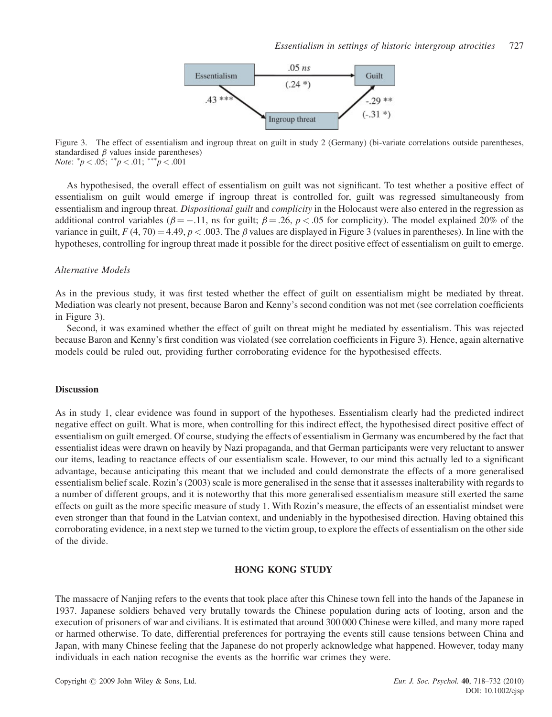

Figure 3. The effect of essentialism and ingroup threat on guilt in study 2 (Germany) (bi-variate correlations outside parentheses, standardised  $\beta$  values inside parentheses) *Note*:  ${}^*p < .05$ ;  ${}^{**}p < .01$ ;  ${}^{***}p < .001$ 

As hypothesised, the overall effect of essentialism on guilt was not significant. To test whether a positive effect of essentialism on guilt would emerge if ingroup threat is controlled for, guilt was regressed simultaneously from essentialism and ingroup threat. Dispositional guilt and complicity in the Holocaust were also entered in the regression as additional control variables ( $\beta = -11$ , ns for guilt;  $\beta = 0.26$ ,  $p < 0.05$  for complicity). The model explained 20% of the variance in guilt,  $F(4, 70) = 4.49$ ,  $p < .003$ . The  $\beta$  values are displayed in Figure 3 (values in parentheses). In line with the hypotheses, controlling for ingroup threat made it possible for the direct positive effect of essentialism on guilt to emerge.

### Alternative Models

As in the previous study, it was first tested whether the effect of guilt on essentialism might be mediated by threat. Mediation was clearly not present, because Baron and Kenny's second condition was not met (see correlation coefficients in Figure 3).

Second, it was examined whether the effect of guilt on threat might be mediated by essentialism. This was rejected because Baron and Kenny's first condition was violated (see correlation coefficients in Figure 3). Hence, again alternative models could be ruled out, providing further corroborating evidence for the hypothesised effects.

#### **Discussion**

As in study 1, clear evidence was found in support of the hypotheses. Essentialism clearly had the predicted indirect negative effect on guilt. What is more, when controlling for this indirect effect, the hypothesised direct positive effect of essentialism on guilt emerged. Of course, studying the effects of essentialism in Germany was encumbered by the fact that essentialist ideas were drawn on heavily by Nazi propaganda, and that German participants were very reluctant to answer our items, leading to reactance effects of our essentialism scale. However, to our mind this actually led to a significant advantage, because anticipating this meant that we included and could demonstrate the effects of a more generalised essentialism belief scale. Rozin's (2003) scale is more generalised in the sense that it assesses inalterability with regards to a number of different groups, and it is noteworthy that this more generalised essentialism measure still exerted the same effects on guilt as the more specific measure of study 1. With Rozin's measure, the effects of an essentialist mindset were even stronger than that found in the Latvian context, and undeniably in the hypothesised direction. Having obtained this corroborating evidence, in a next step we turned to the victim group, to explore the effects of essentialism on the other side of the divide.

#### HONG KONG STUDY

The massacre of Nanjing refers to the events that took place after this Chinese town fell into the hands of the Japanese in 1937. Japanese soldiers behaved very brutally towards the Chinese population during acts of looting, arson and the execution of prisoners of war and civilians. It is estimated that around 300 000 Chinese were killed, and many more raped or harmed otherwise. To date, differential preferences for portraying the events still cause tensions between China and Japan, with many Chinese feeling that the Japanese do not properly acknowledge what happened. However, today many individuals in each nation recognise the events as the horrific war crimes they were.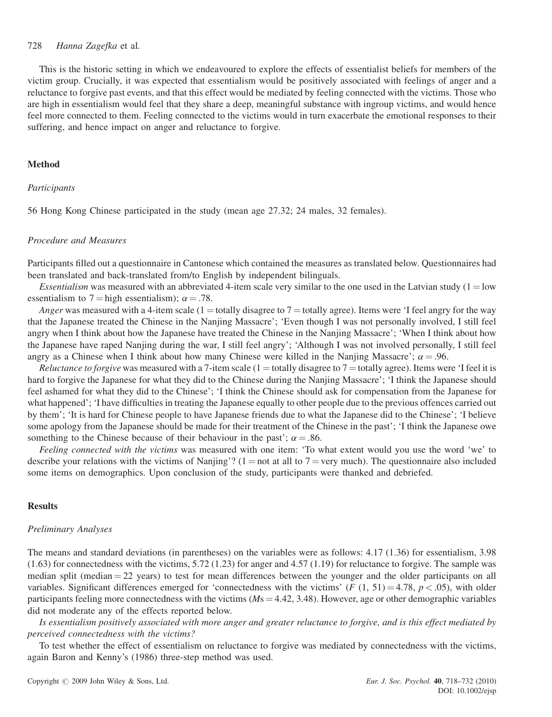This is the historic setting in which we endeavoured to explore the effects of essentialist beliefs for members of the victim group. Crucially, it was expected that essentialism would be positively associated with feelings of anger and a reluctance to forgive past events, and that this effect would be mediated by feeling connected with the victims. Those who are high in essentialism would feel that they share a deep, meaningful substance with ingroup victims, and would hence feel more connected to them. Feeling connected to the victims would in turn exacerbate the emotional responses to their suffering, and hence impact on anger and reluctance to forgive.

### Method

#### Participants

56 Hong Kong Chinese participated in the study (mean age 27.32; 24 males, 32 females).

## Procedure and Measures

Participants filled out a questionnaire in Cantonese which contained the measures as translated below. Questionnaires had been translated and back-translated from/to English by independent bilinguals.

*Essentialism* was measured with an abbreviated 4-item scale very similar to the one used in the Latvian study  $(1 = low$ essentialism to 7 = high essentialism);  $\alpha = .78$ .

Anger was measured with a 4-item scale (1 = totally disagree to 7 = totally agree). Items were 'I feel angry for the way that the Japanese treated the Chinese in the Nanjing Massacre'; 'Even though I was not personally involved, I still feel angry when I think about how the Japanese have treated the Chinese in the Nanjing Massacre'; 'When I think about how the Japanese have raped Nanjing during the war, I still feel angry'; 'Although I was not involved personally, I still feel angry as a Chinese when I think about how many Chinese were killed in the Nanjing Massacre';  $\alpha = .96$ .

*Reluctance to forgive* was measured with a 7-item scale ( $1 =$ totally disagree to  $7 =$ totally agree). Items were 'I feel it is hard to forgive the Japanese for what they did to the Chinese during the Nanjing Massacre'; 'I think the Japanese should feel ashamed for what they did to the Chinese'; 'I think the Chinese should ask for compensation from the Japanese for what happened'; 'I have difficulties in treating the Japanese equally to other people due to the previous offences carried out by them'; 'It is hard for Chinese people to have Japanese friends due to what the Japanese did to the Chinese'; 'I believe some apology from the Japanese should be made for their treatment of the Chinese in the past'; 'I think the Japanese owe something to the Chinese because of their behaviour in the past';  $\alpha = .86$ .

Feeling connected with the victims was measured with one item: 'To what extent would you use the word 'we' to describe your relations with the victims of Nanjing'? ( $1 = not$  at all to  $7 = very$  much). The questionnaire also included some items on demographics. Upon conclusion of the study, participants were thanked and debriefed.

#### **Results**

#### Preliminary Analyses

The means and standard deviations (in parentheses) on the variables were as follows: 4.17 (1.36) for essentialism, 3.98  $(1.63)$  for connectedness with the victims, 5.72 (1.23) for anger and 4.57 (1.19) for reluctance to forgive. The sample was median split (median = 22 years) to test for mean differences between the younger and the older participants on all variables. Significant differences emerged for 'connectedness with the victims'  $(F (1, 51) = 4.78, p < .05)$ , with older participants feeling more connectedness with the victims ( $Ms = 4.42, 3.48$ ). However, age or other demographic variables did not moderate any of the effects reported below.

Is essentialism positively associated with more anger and greater reluctance to forgive, and is this effect mediated by perceived connectedness with the victims?

To test whether the effect of essentialism on reluctance to forgive was mediated by connectedness with the victims, again Baron and Kenny's (1986) three-step method was used.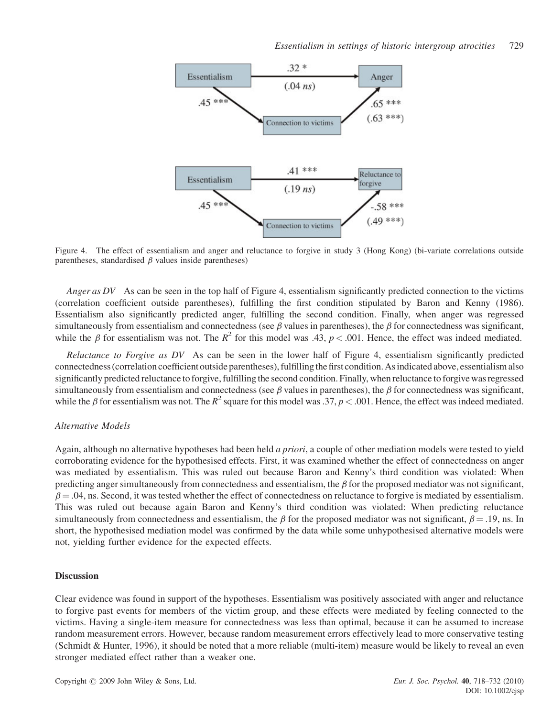

Figure 4. The effect of essentialism and anger and reluctance to forgive in study 3 (Hong Kong) (bi-variate correlations outside parentheses, standardised  $\beta$  values inside parentheses)

Anger as  $DV$  As can be seen in the top half of Figure 4, essentialism significantly predicted connection to the victims (correlation coefficient outside parentheses), fulfilling the first condition stipulated by Baron and Kenny (1986). Essentialism also significantly predicted anger, fulfilling the second condition. Finally, when anger was regressed simultaneously from essentialism and connectedness (see  $\beta$  values in parentheses), the  $\beta$  for connectedness was significant, while the  $\beta$  for essentialism was not. The  $R^2$  for this model was .43,  $p < .001$ . Hence, the effect was indeed mediated.

Reluctance to Forgive as DV As can be seen in the lower half of Figure 4, essentialism significantly predicted connectedness (correlation coefficient outside parentheses), fulfillingthe first condition. Asindicated above, essentialism also significantly predicted reluctance to forgive, fulfilling the second condition. Finally, when reluctance to forgive was regressed simultaneously from essentialism and connectedness (see  $\beta$  values in parentheses), the  $\beta$  for connectedness was significant, while the  $\beta$  for essentialism was not. The  $R^2$  square for this model was .37,  $p < .001$ . Hence, the effect was indeed mediated.

## Alternative Models

Again, although no alternative hypotheses had been held *a priori*, a couple of other mediation models were tested to yield corroborating evidence for the hypothesised effects. First, it was examined whether the effect of connectedness on anger was mediated by essentialism. This was ruled out because Baron and Kenny's third condition was violated: When predicting anger simultaneously from connectedness and essentialism, the  $\beta$  for the proposed mediator was not significant,  $\beta = .04$ , ns. Second, it was tested whether the effect of connectedness on reluctance to forgive is mediated by essentialism. This was ruled out because again Baron and Kenny's third condition was violated: When predicting reluctance simultaneously from connectedness and essentialism, the  $\beta$  for the proposed mediator was not significant,  $\beta$  = .19, ns. In short, the hypothesised mediation model was confirmed by the data while some unhypothesised alternative models were not, yielding further evidence for the expected effects.

#### **Discussion**

Clear evidence was found in support of the hypotheses. Essentialism was positively associated with anger and reluctance to forgive past events for members of the victim group, and these effects were mediated by feeling connected to the victims. Having a single-item measure for connectedness was less than optimal, because it can be assumed to increase random measurement errors. However, because random measurement errors effectively lead to more conservative testing (Schmidt & Hunter, 1996), it should be noted that a more reliable (multi-item) measure would be likely to reveal an even stronger mediated effect rather than a weaker one.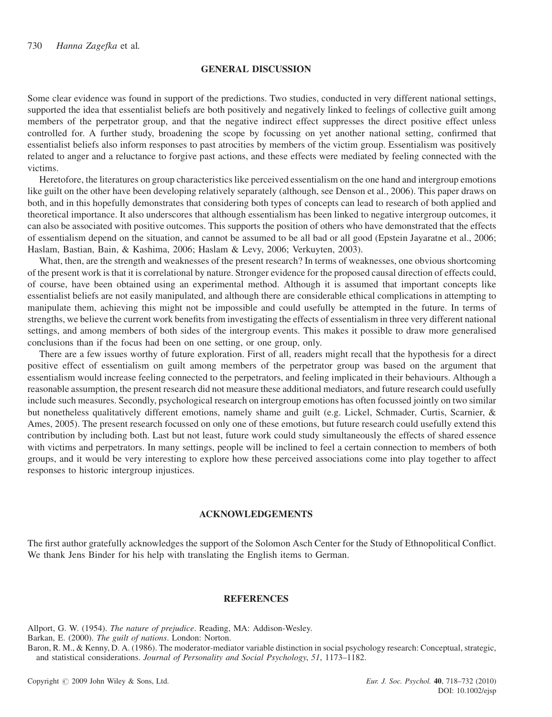#### GENERAL DISCUSSION

Some clear evidence was found in support of the predictions. Two studies, conducted in very different national settings, supported the idea that essentialist beliefs are both positively and negatively linked to feelings of collective guilt among members of the perpetrator group, and that the negative indirect effect suppresses the direct positive effect unless controlled for. A further study, broadening the scope by focussing on yet another national setting, confirmed that essentialist beliefs also inform responses to past atrocities by members of the victim group. Essentialism was positively related to anger and a reluctance to forgive past actions, and these effects were mediated by feeling connected with the victims.

Heretofore, the literatures on group characteristics like perceived essentialism on the one hand and intergroup emotions like guilt on the other have been developing relatively separately (although, see Denson et al., 2006). This paper draws on both, and in this hopefully demonstrates that considering both types of concepts can lead to research of both applied and theoretical importance. It also underscores that although essentialism has been linked to negative intergroup outcomes, it can also be associated with positive outcomes. This supports the position of others who have demonstrated that the effects of essentialism depend on the situation, and cannot be assumed to be all bad or all good (Epstein Jayaratne et al., 2006; Haslam, Bastian, Bain, & Kashima, 2006; Haslam & Levy, 2006; Verkuyten, 2003).

What, then, are the strength and weaknesses of the present research? In terms of weaknesses, one obvious shortcoming of the present work is that it is correlational by nature. Stronger evidence for the proposed causal direction of effects could, of course, have been obtained using an experimental method. Although it is assumed that important concepts like essentialist beliefs are not easily manipulated, and although there are considerable ethical complications in attempting to manipulate them, achieving this might not be impossible and could usefully be attempted in the future. In terms of strengths, we believe the current work benefits from investigating the effects of essentialism in three very different national settings, and among members of both sides of the intergroup events. This makes it possible to draw more generalised conclusions than if the focus had been on one setting, or one group, only.

There are a few issues worthy of future exploration. First of all, readers might recall that the hypothesis for a direct positive effect of essentialism on guilt among members of the perpetrator group was based on the argument that essentialism would increase feeling connected to the perpetrators, and feeling implicated in their behaviours. Although a reasonable assumption, the present research did not measure these additional mediators, and future research could usefully include such measures. Secondly, psychological research on intergroup emotions has often focussed jointly on two similar but nonetheless qualitatively different emotions, namely shame and guilt (e.g. Lickel, Schmader, Curtis, Scarnier, & Ames, 2005). The present research focussed on only one of these emotions, but future research could usefully extend this contribution by including both. Last but not least, future work could study simultaneously the effects of shared essence with victims and perpetrators. In many settings, people will be inclined to feel a certain connection to members of both groups, and it would be very interesting to explore how these perceived associations come into play together to affect responses to historic intergroup injustices.

### ACKNOWLEDGEMENTS

The first author gratefully acknowledges the support of the Solomon Asch Center for the Study of Ethnopolitical Conflict. We thank Jens Binder for his help with translating the English items to German.

#### **REFERENCES**

Allport, G. W. (1954). The nature of prejudice. Reading, MA: Addison-Wesley.

Barkan, E. (2000). The guilt of nations. London: Norton.

Baron, R. M., & Kenny, D. A. (1986). The moderator-mediator variable distinction in social psychology research: Conceptual, strategic, and statistical considerations. Journal of Personality and Social Psychology, 51, 1173–1182.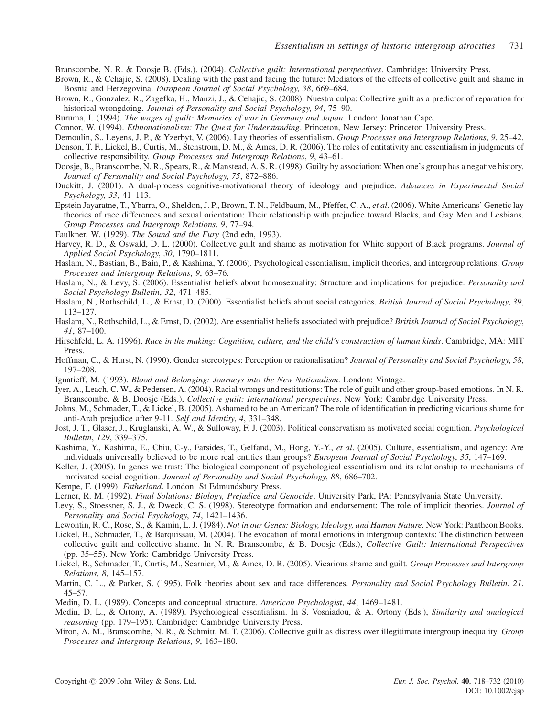Branscombe, N. R. & Doosje B. (Eds.). (2004). Collective guilt: International perspectives. Cambridge: University Press.

- Brown, R., & Cehajic, S. (2008). Dealing with the past and facing the future: Mediators of the effects of collective guilt and shame in Bosnia and Herzegovina. European Journal of Social Psychology, 38, 669–684.
- Brown, R., Gonzalez, R., Zagefka, H., Manzi, J., & Cehajic, S. (2008). Nuestra culpa: Collective guilt as a predictor of reparation for historical wrongdoing. Journal of Personality and Social Psychology, 94, 75–90.
- Buruma, I. (1994). The wages of guilt: Memories of war in Germany and Japan. London: Jonathan Cape.
- Connor, W. (1994). Ethnonationalism: The Quest for Understanding. Princeton, New Jersey: Princeton University Press.
- Demoulin, S., Leyens, J. P., & Yzerbyt, V. (2006). Lay theories of essentialism. Group Processes and Intergroup Relations, 9, 25–42.
- Denson, T. F., Lickel, B., Curtis, M., Stenstrom, D. M., & Ames, D. R. (2006). The roles of entitativity and essentialism in judgments of collective responsibility. Group Processes and Intergroup Relations, 9, 43–61.
- Doosje, B., Branscombe, N. R., Spears, R., & Manstead, A. S. R. (1998). Guilty by association: When one's group has a negative history. Journal of Personality and Social Psychology, 75, 872–886.
- Duckitt, J. (2001). A dual-process cognitive-motivational theory of ideology and prejudice. Advances in Experimental Social Psychology, 33, 41–113.
- Epstein Jayaratne, T., Ybarra, O., Sheldon, J. P., Brown, T. N., Feldbaum, M., Pfeffer, C. A., et al. (2006). White Americans' Genetic lay theories of race differences and sexual orientation: Their relationship with prejudice toward Blacks, and Gay Men and Lesbians. Group Processes and Intergroup Relations, 9, 77–94.

Faulkner, W. (1929). The Sound and the Fury (2nd edn, 1993).

- Harvey, R. D., & Oswald, D. L. (2000). Collective guilt and shame as motivation for White support of Black programs. *Journal of* Applied Social Psychology, 30, 1790–1811.
- Haslam, N., Bastian, B., Bain, P., & Kashima, Y. (2006). Psychological essentialism, implicit theories, and intergroup relations. Group Processes and Intergroup Relations, 9, 63–76.
- Haslam, N., & Levy, S. (2006). Essentialist beliefs about homosexuality: Structure and implications for prejudice. Personality and Social Psychology Bulletin, 32, 471–485.
- Haslam, N., Rothschild, L., & Ernst, D. (2000). Essentialist beliefs about social categories. British Journal of Social Psychology, 39, 113–127.
- Haslam, N., Rothschild, L., & Ernst, D. (2002). Are essentialist beliefs associated with prejudice? British Journal of Social Psychology, 41, 87–100.
- Hirschfeld, L. A. (1996). Race in the making: Cognition, culture, and the child's construction of human kinds. Cambridge, MA: MIT Press.
- Hoffman, C., & Hurst, N. (1990). Gender stereotypes: Perception or rationalisation? Journal of Personality and Social Psychology, 58, 197–208.
- Ignatieff, M. (1993). Blood and Belonging: Journeys into the New Nationalism. London: Vintage.
- Iyer, A., Leach, C. W., & Pedersen, A. (2004). Racial wrongs and restitutions: The role of guilt and other group-based emotions. In N. R. Branscombe, & B. Doosje (Eds.), *Collective guilt: International perspectives*. New York: Cambridge University Press.
- Johns, M., Schmader, T., & Lickel, B. (2005). Ashamed to be an American? The role of identification in predicting vicarious shame for anti-Arab prejudice after 9-11. Self and Identity, 4, 331–348.
- Jost, J. T., Glaser, J., Kruglanski, A. W., & Sulloway, F. J. (2003). Political conservatism as motivated social cognition. *Psychological* Bulletin, 129, 339–375.
- Kashima, Y., Kashima, E., Chiu, C-y., Farsides, T., Gelfand, M., Hong, Y.-Y., et al. (2005). Culture, essentialism, and agency: Are individuals universally believed to be more real entities than groups? European Journal of Social Psychology, 35, 147–169.
- Keller, J. (2005). In genes we trust: The biological component of psychological essentialism and its relationship to mechanisms of motivated social cognition. Journal of Personality and Social Psychology, 88, 686–702.
- Kempe, F. (1999). Fatherland. London: St Edmundsbury Press.
- Lerner, R. M. (1992). Final Solutions: Biology, Prejudice and Genocide. University Park, PA: Pennsylvania State University.
- Levy, S., Stoessner, S. J., & Dweck, C. S. (1998). Stereotype formation and endorsement: The role of implicit theories. *Journal of* Personality and Social Psychology, 74, 1421–1436.
- Lewontin, R. C., Rose, S., & Kamin, L. J. (1984). Not in our Genes: Biology, Ideology, and Human Nature. New York: Pantheon Books.
- Lickel, B., Schmader, T., & Barquissau, M. (2004). The evocation of moral emotions in intergroup contexts: The distinction between collective guilt and collective shame. In N. R. Branscombe, & B. Doosje (Eds.), Collective Guilt: International Perspectives (pp. 35–55). New York: Cambridge University Press.
- Lickel, B., Schmader, T., Curtis, M., Scarnier, M., & Ames, D. R. (2005). Vicarious shame and guilt. Group Processes and Intergroup Relations, 8, 145–157.
- Martin, C. L., & Parker, S. (1995). Folk theories about sex and race differences. Personality and Social Psychology Bulletin, 21, 45–57.
- Medin, D. L. (1989). Concepts and conceptual structure. American Psychologist, 44, 1469–1481.
- Medin, D. L., & Ortony, A. (1989). Psychological essentialism. In S. Vosniadou, & A. Ortony (Eds.), Similarity and analogical reasoning (pp. 179–195). Cambridge: Cambridge University Press.
- Miron, A. M., Branscombe, N. R., & Schmitt, M. T. (2006). Collective guilt as distress over illegitimate intergroup inequality. Group Processes and Intergroup Relations, 9, 163–180.